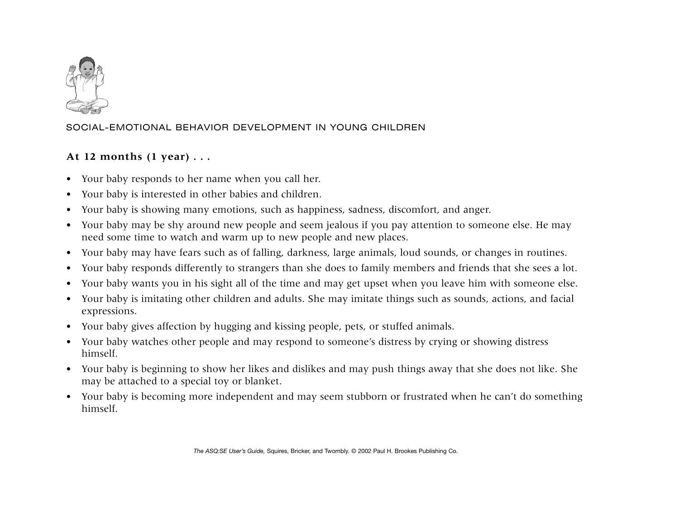

## SOCIAL-EMOTIONAL BEHAVIOR DEVELOPMENT IN YOUNG CHILDREN

## **At 12 months (1 year) . . .**

- Your baby responds to her name when you call her.
- $\bullet$ Your baby is interested in other babies and children.
- •Your baby is showing many emotions, such as happiness, sadness, discomfort, and anger.
- • Your baby may be shy around new people and seem jealous if you pay attention to someone else. He may need some time to watch and warm up to new people and new places.
- $\bullet$ Your baby may have fears such as of falling, darkness, large animals, loud sounds, or changes in routines.
- •Your baby responds differently to strangers than she does to family members and friends that she sees a lot.
- •Your baby wants you in his sight all of the time and may get upset when you leave him with someone else.
- Your baby is imitating other children and adults. She may imitate things such as sounds, actions, and facial expressions.
- Your baby gives affection by hugging and kissing people, pets, or stuffed animals.
- Your baby watches other people and may respond to someone's distress by crying or showing distress himself.
- Your baby is beginning to show her likes and dislikes and may push things away that she does not like. She may be attached to a special toy or blanket.
- Your baby is becoming more independent and may seem stubborn or frustrated when he can't do something himself.